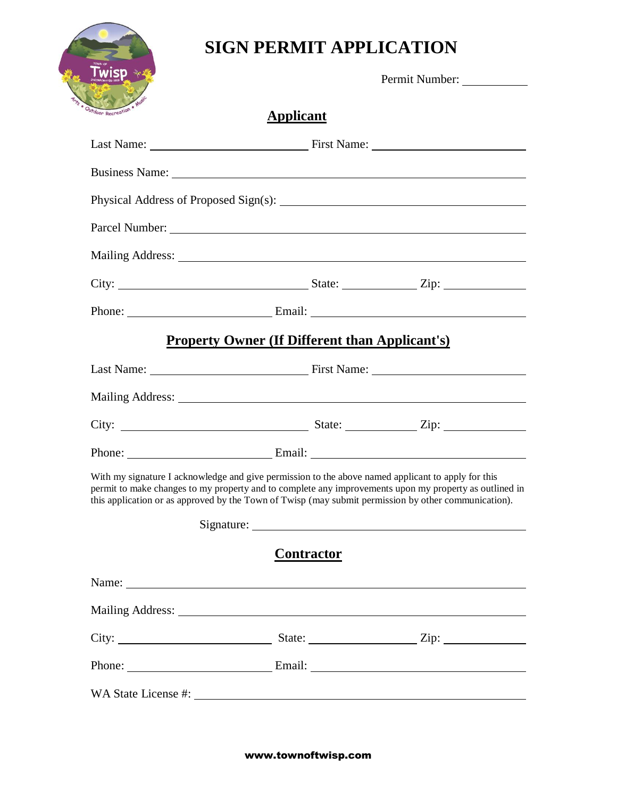|                    |                                                                                                                                                                                                                                                                                                                      | Permit Number: |  |
|--------------------|----------------------------------------------------------------------------------------------------------------------------------------------------------------------------------------------------------------------------------------------------------------------------------------------------------------------|----------------|--|
| Outdoor Recreation |                                                                                                                                                                                                                                                                                                                      |                |  |
|                    | <b>Applicant</b>                                                                                                                                                                                                                                                                                                     |                |  |
|                    | Last Name: First Name:                                                                                                                                                                                                                                                                                               |                |  |
|                    | Business Name: Name:                                                                                                                                                                                                                                                                                                 |                |  |
|                    |                                                                                                                                                                                                                                                                                                                      |                |  |
|                    |                                                                                                                                                                                                                                                                                                                      |                |  |
|                    |                                                                                                                                                                                                                                                                                                                      |                |  |
|                    | City: <u>City:</u> State: <u>State:</u> Zip:                                                                                                                                                                                                                                                                         |                |  |
|                    | Phone: Email: Email:                                                                                                                                                                                                                                                                                                 |                |  |
|                    | <b>Property Owner (If Different than Applicant's)</b>                                                                                                                                                                                                                                                                |                |  |
|                    |                                                                                                                                                                                                                                                                                                                      |                |  |
|                    |                                                                                                                                                                                                                                                                                                                      |                |  |
|                    |                                                                                                                                                                                                                                                                                                                      |                |  |
| Phone:             | Email:                                                                                                                                                                                                                                                                                                               |                |  |
|                    | With my signature I acknowledge and give permission to the above named applicant to apply for this<br>permit to make changes to my property and to complete any improvements upon my property as outlined in<br>this application or as approved by the Town of Twisp (may submit permission by other communication). |                |  |
|                    |                                                                                                                                                                                                                                                                                                                      |                |  |
|                    | <b>Contractor</b>                                                                                                                                                                                                                                                                                                    |                |  |
|                    |                                                                                                                                                                                                                                                                                                                      |                |  |
|                    |                                                                                                                                                                                                                                                                                                                      |                |  |
|                    | City: $\frac{\text{City:}}{\text{With } \text{Right}}$                                                                                                                                                                                                                                                               |                |  |
|                    |                                                                                                                                                                                                                                                                                                                      |                |  |

www.townoftwisp.com